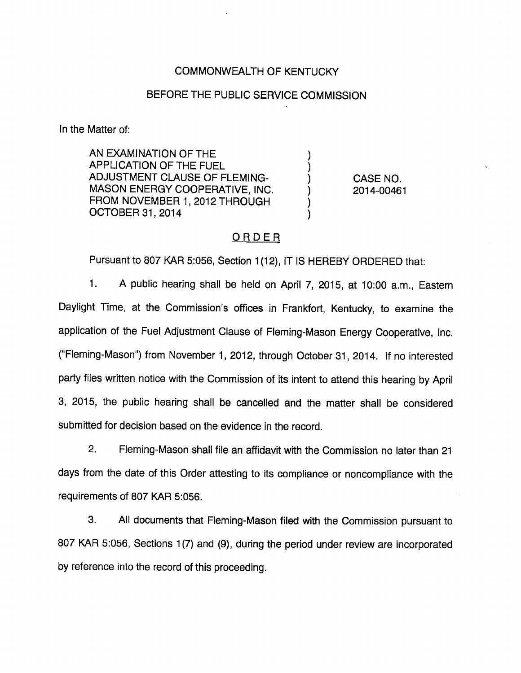## COMMONWEALTH OF KENTUCKY

## BEFORE THE PUBLIC SERVICE COMMISSION

In the Matter of:

AN EXAMINATION OF THE APPLICATION OF THE FUEL ADJUSTMENT CLAUSE OF FLEMING- ) CASE NO. MASON ENERGY COOPERATIVE, INC. (2014-00461 FROM NOVEMBER 1, 2012 THROUGH OCTOBER 31, 2014

#### ORDER

Pursuant to 807 KAR 5:056, Section 1(12), IT IS HEREBY ORDERED that:

1. A public hearing shall be held on April 7, 2015, at 10:00 a.m., Eastem Daylight Time, at the Commission's offices in Frankfort, Kentucky, to examine the application of the Fuel Adjustment Clause of Fleming-Mason Energy Cooperative, Inc. ("Fleming-Mason") from November 1, 2012, through October 31, 2014. If no interested party files written notice with the Commission of its intent to attend this hearing by April 3, 2015, the public hearing shall be cancelled and the matter shall be considered submitted for decision based on the evidence in the record.

2. Fleming-Mason shall file an affidavit with the Commission no later than 21 days from the date of this Order attesting to its compliance or noncompliance with the requirements of 807 KAR 5:056.

3. All documents that Fleming-Mason filed with the Commission pursuant to 807 KAR 5:056, Sections 1(7) and (9), during the period under review are incorporated by reference into the record of this proceeding.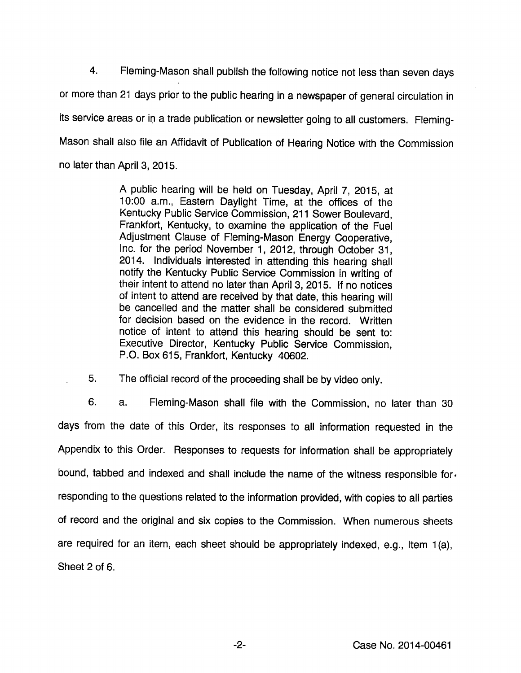4. Fleming-Mason shall publish the following notice not less than seven days or more than 21 days prior to the public hearing in a newspaper of general circulation in its service areas or in a trade publication or newsletter going to all customers. Fleming-Mason shall also file an Affidavit of Publication of Hearing Notice with the Commission no later than April 3, 2015.

> A public hearing will be held on Tuesday, April 7, 2015, at 10:00 a.m., Eastem Daylight Time, at the offices of the Kentucky Public Service Commission, 211 Sower Boulevard, Frankfort, Kentucky, to examine the application of the Fuel Adjustment Clause of Fleming-Mason Energy Cooperative, Inc. for the period November 1, 2012, through October 31, 2014. Individuals interested in attending this hearing shall notify the Kentucky Public Service Commission in writing of their intent to attend no later than April 3, 2015. If no notices of intent to attend are received by that date, this hearing will be cancelled and the matter shall be considered submitted for decision based on the evidence in the record. Written notice of intent to attend this hearing should be sent to: Executive Director, Kentucky Public Service Commission, P.O. Box 615, Frankfort, Kentucky 40602.

5. The official record of the proceeding shall be by video only.

6. a. Fleming-Mason shall file with the Commission, no later than 30 days from the date of this Order, its responses to all information requested in the Appendix to this Order. Responses to requests for information shall be appropriately bound, tabbed and indexed and shall include the name of the witness responsible for. responding to the questions related to the information provided, with copies to ali parties of record and the original and six copies to the Commission. When numerous sheets are required for an item, each sheet should be appropriately indexed, e.g.. Item 1(a), Sheet 2 of 6.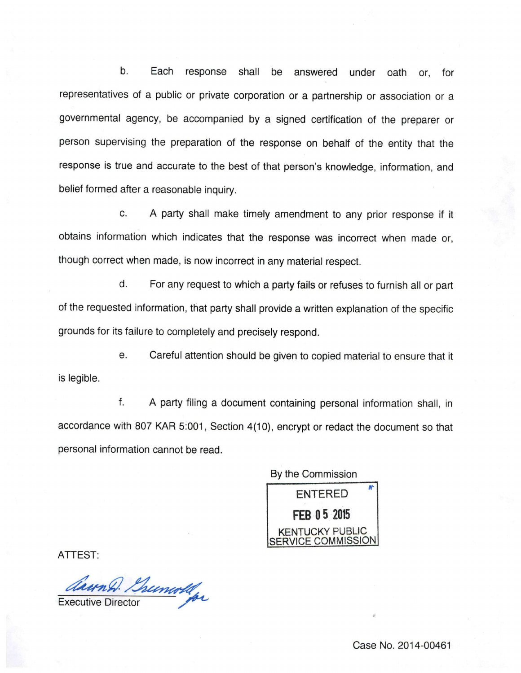b. Each response shall be answered under oath or, for representatives of a public or private corporation or a partnership or association or a governmental agency, be accompanied by a signed certification of the preparer or person supervising the preparation of the response on behalf of the entity that the response is true and accurate to the best of that person's knowledge, information, and belief formed after a reasonable inquiry.

c. A party shall make timely amendment to any prior response if it obtains information which indicates that the response was incorrect when made or, though correct when made, is now incorrect in any material respect.

d. Forany request to which a partyfails or refuses to furnish all or part of the requested information, that party shall provide a written explanation of the specific grounds for its failure to completely and precisely respond.

e. Careful attention should be given to copied material to ensure that it is legible.

f. A party filing a document containing personal information shall, in accordance with 807 KAR 5:001, Section 4(10), encrypt or redact the document so that personal information cannot be read.

By the Commission ENTERED FEB 05 2015 KENTUCKY PUBLIC SERVICE COMMISSION

ATTEST:

Chunh Brunwhy

Case No. 2014-00461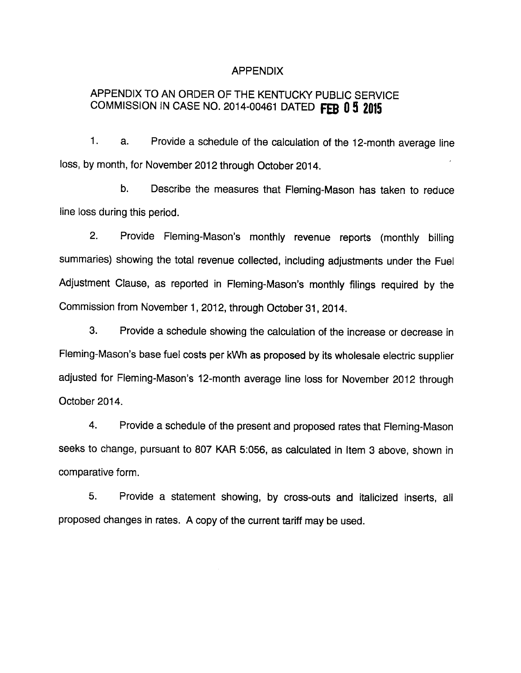#### APPENDIX

# APPENDIX TO AN ORDER OF THE KENTUCKY PUBLIC SERVICE COMMISSION IN CASE NO. 2014-00461 DATED FEB 0 5 2015

1. a. Provide a schedule of the calculation of the 12-month average line loss, by month, for November 2012 through October 2014.

b. Describe the measures that Fleming-Mason has taken to reduce line loss during this period.

2. Provide Fleming-Mason's monthly revenue reports (monthly billing summaries) showing the total revenue collected, including adjustments under the Fuel Adjustment Clause, as reported in Fleming-Mason's monthly filings required by the Commission from November 1, 2012, through October 31, 2014.

3. Provide a schedule showing the calculation of the increase or decrease in Fleming-Mason's base fuel costs per kWh as proposed by itswholesale electric supplier adjusted for Fleming-Mason's 12-month average line loss for November 2012 through October 2014.

4. Provide a schedule of the present and proposed rates that Fleming-Mason seeks to change, pursuant to 807 KAR 5:056, as calculated in Item 3 above, shown in comparative form.

5. Provide a statement showing, by cross-outs and italicized inserts, all proposed changes in rates. A copy of the current tariff may be used.